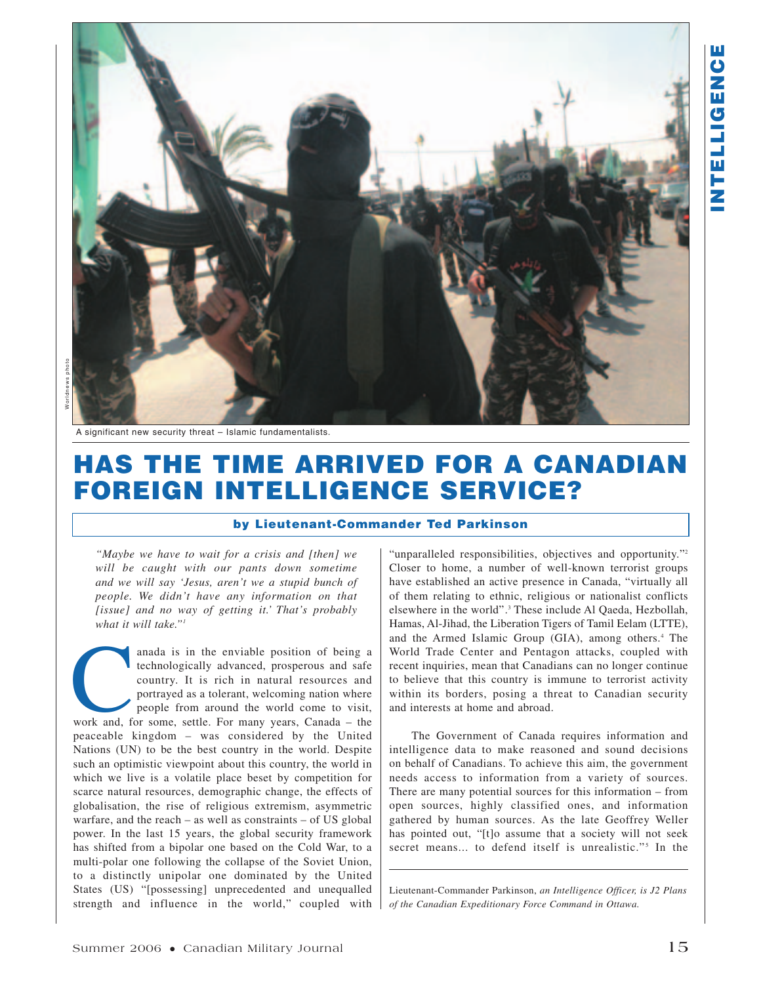

A significant new security threat – Islamic fundamentalists.

# **HAS THE TIME ARRIVED FOR A CANADIAN FOREIGN INTELLIGENCE SERVICE?**

#### **by Lieutenant-Commander Ted Parkinson**

*"Maybe we have to wait for a crisis and [then] we will be caught with our pants down sometime and we will say 'Jesus, aren't we a stupid bunch of people. We didn't have any information on that [issue] and no way of getting it.' That's probably what it will take."1*

anada is in the enviable position of being a technologically advanced, prosperous and safe country. It is rich in natural resources and portrayed as a tolerant, welcoming nation where people from around the world come to v technologically advanced, prosperous and safe country. It is rich in natural resources and portrayed as a tolerant, welcoming nation where people from around the world come to visit, peaceable kingdom – was considered by the United Nations (UN) to be the best country in the world. Despite such an optimistic viewpoint about this country, the world in which we live is a volatile place beset by competition for scarce natural resources, demographic change, the effects of globalisation, the rise of religious extremism, asymmetric warfare, and the reach – as well as constraints – of US global power. In the last 15 years, the global security framework has shifted from a bipolar one based on the Cold War, to a multi-polar one following the collapse of the Soviet Union, to a distinctly unipolar one dominated by the United States (US) "[possessing] unprecedented and unequalled strength and influence in the world," coupled with "unparalleled responsibilities, objectives and opportunity."<sup>2</sup> Closer to home, a number of well-known terrorist groups have established an active presence in Canada, "virtually all of them relating to ethnic, religious or nationalist conflicts elsewhere in the world".3 These include Al Qaeda, Hezbollah, Hamas, Al-Jihad, the Liberation Tigers of Tamil Eelam (LTTE), and the Armed Islamic Group (GIA), among others.<sup>4</sup> The World Trade Center and Pentagon attacks, coupled with recent inquiries, mean that Canadians can no longer continue to believe that this country is immune to terrorist activity within its borders, posing a threat to Canadian security and interests at home and abroad.

The Government of Canada requires information and intelligence data to make reasoned and sound decisions on behalf of Canadians. To achieve this aim, the government needs access to information from a variety of sources. There are many potential sources for this information – from open sources, highly classified ones, and information gathered by human sources. As the late Geoffrey Weller has pointed out, "[t]o assume that a society will not seek secret means... to defend itself is unrealistic."<sup>5</sup> In the

Lieutenant-Commander Parkinson, *an Intelligence Officer, is J2 Plans of the Canadian Expeditionary Force Command in Ottawa.*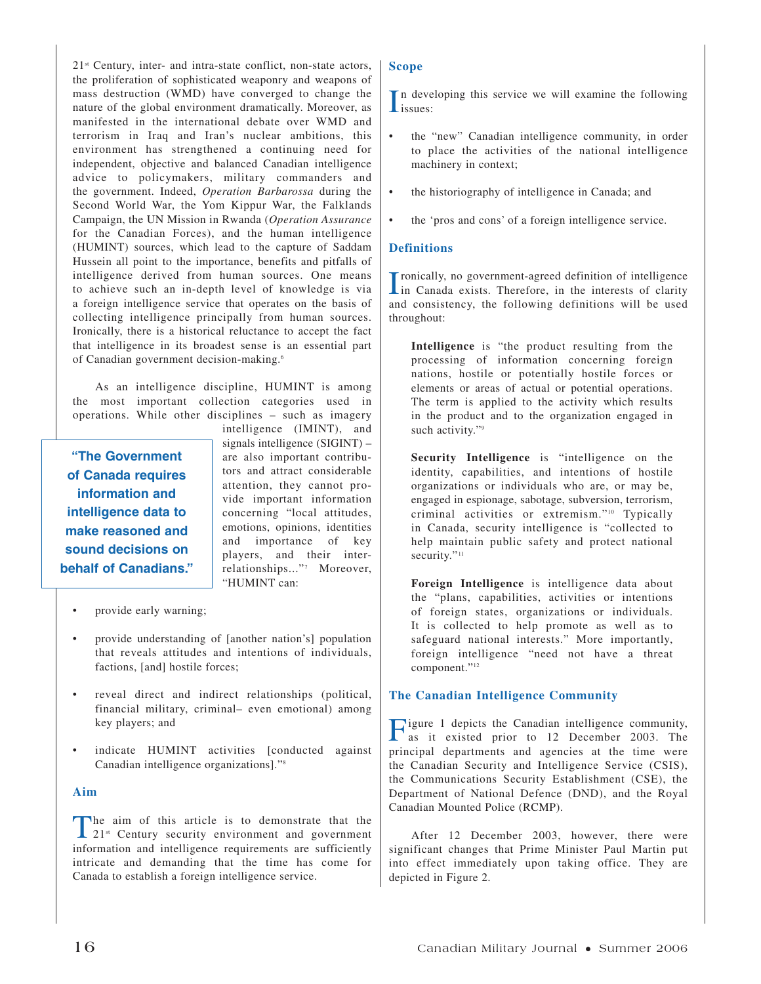$21<sup>st</sup>$  Century, inter- and intra-state conflict, non-state actors, the proliferation of sophisticated weaponry and weapons of mass destruction (WMD) have converged to change the nature of the global environment dramatically. Moreover, as manifested in the international debate over WMD and terrorism in Iraq and Iran's nuclear ambitions, this environment has strengthened a continuing need for independent, objective and balanced Canadian intelligence advice to policymakers, military commanders and the government. Indeed, *Operation Barbarossa* during the Second World War, the Yom Kippur War, the Falklands Campaign, the UN Mission in Rwanda (*Operation Assurance* for the Canadian Forces), and the human intelligence (HUMINT) sources, which lead to the capture of Saddam Hussein all point to the importance, benefits and pitfalls of intelligence derived from human sources. One means to achieve such an in-depth level of knowledge is via a foreign intelligence service that operates on the basis of collecting intelligence principally from human sources. Ironically, there is a historical reluctance to accept the fact that intelligence in its broadest sense is an essential part of Canadian government decision-making.6

As an intelligence discipline, HUMINT is among the most important collection categories used in operations. While other disciplines – such as imagery

**"The Government of Canada requires information and intelligence data to make reasoned and sound decisions on behalf of Canadians."** intelligence (IMINT), and signals intelligence (SIGINT) – are also important contributors and attract considerable attention, they cannot provide important information concerning "local attitudes, emotions, opinions, identities and importance of key players, and their interrelationships..."7 Moreover, "HUMINT can:

- provide early warning;
- provide understanding of [another nation's] population that reveals attitudes and intentions of individuals, factions, [and] hostile forces;
- reveal direct and indirect relationships (political, financial military, criminal– even emotional) among key players; and
- indicate HUMINT activities [conducted against Canadian intelligence organizations]."8

### **Aim**

The aim of this article is to demonstrate that the 21<sup>st</sup> Century security environment and government information and intelligence requirements are sufficiently intricate and demanding that the time has come for Canada to establish a foreign intelligence service.

## **Scope**

In deverses is n developing this service we will examine the following

- the "new" Canadian intelligence community, in order to place the activities of the national intelligence machinery in context;
- the historiography of intelligence in Canada; and
- the 'pros and cons' of a foreign intelligence service.

## **Definitions**

I ronically, no government-agreed definition of intelligence<br>in Canada exists. Therefore, in the interests of clarity ronically, no government-agreed definition of intelligence and consistency, the following definitions will be used throughout:

**Intelligence** is "the product resulting from the processing of information concerning foreign nations, hostile or potentially hostile forces or elements or areas of actual or potential operations. The term is applied to the activity which results in the product and to the organization engaged in such activity."<sup>9</sup>

**Security Intelligence** is "intelligence on the identity, capabilities, and intentions of hostile organizations or individuals who are, or may be, engaged in espionage, sabotage, subversion, terrorism, criminal activities or extremism."<sup>10</sup> Typically in Canada, security intelligence is "collected to help maintain public safety and protect national security."<sup>11</sup>

**Foreign Intelligence** is intelligence data about the "plans, capabilities, activities or intentions of foreign states, organizations or individuals. It is collected to help promote as well as to safeguard national interests." More importantly, foreign intelligence "need not have a threat component."<sup>12</sup>

### **The Canadian Intelligence Community**

Figure 1 depicts the Canadian intelligence community, as it existed prior to 12 December 2003. The principal departments and agencies at the time were the Canadian Security and Intelligence Service (CSIS), the Communications Security Establishment (CSE), the Department of National Defence (DND), and the Royal Canadian Mounted Police (RCMP).

After 12 December 2003, however, there were significant changes that Prime Minister Paul Martin put into effect immediately upon taking office. They are depicted in Figure 2.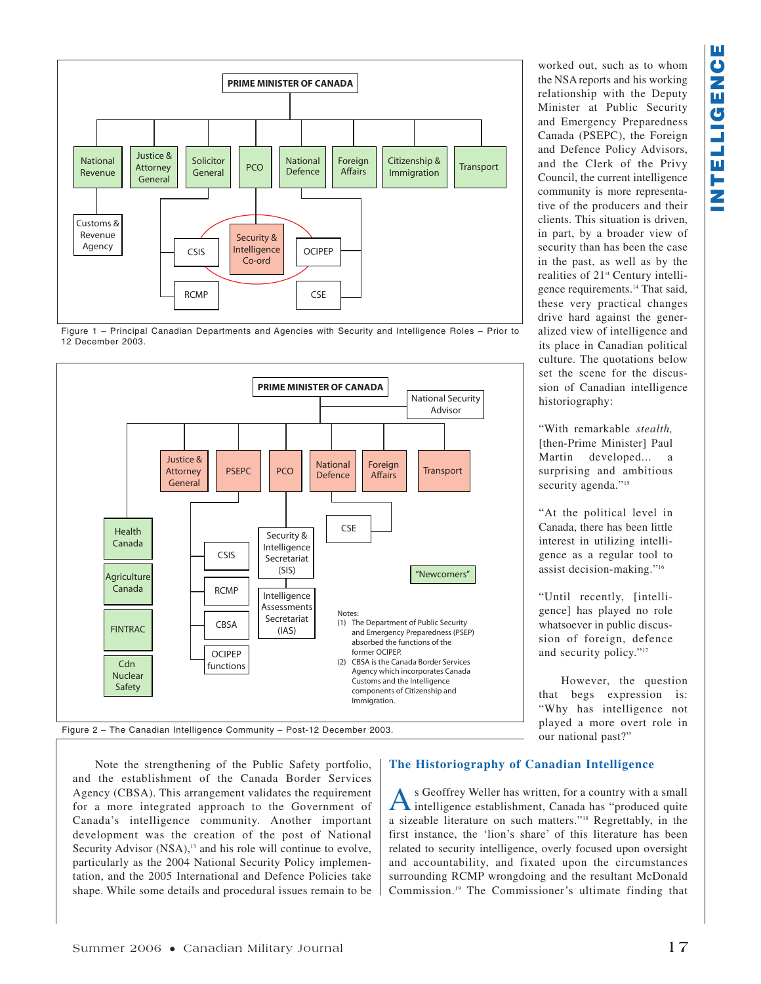





the NSA reports and his working relationship with the Deputy Minister at Public Security and Emergency Preparedness Canada (PSEPC), the Foreign and Defence Policy Advisors, and the Clerk of the Privy Council, the current intelligence community is more representative of the producers and their clients. This situation is driven, in part, by a broader view of security than has been the case in the past, as well as by the realities of  $21<sup>st</sup>$  Century intelligence requirements.14 That said, these very practical changes drive hard against the generalized view of intelligence and its place in Canadian political culture. The quotations below set the scene for the discussion of Canadian intelligence

worked out, such as to whom

"With remarkable *stealth,* [then-Prime Minister] Paul Martin developed... a surprising and ambitious security agenda."<sup>15</sup>

historiography:

"At the political level in Canada, there has been little interest in utilizing intelligence as a regular tool to assist decision-making."16

"Until recently, [intelligence] has played no role whatsoever in public discussion of foreign, defence and security policy."<sup>17</sup>

However, the question that begs expression is: "Why has intelligence not played a more overt role in our national past?"

Note the strengthening of the Public Safety portfolio, and the establishment of the Canada Border Services Agency (CBSA). This arrangement validates the requirement for a more integrated approach to the Government of Canada's intelligence community. Another important development was the creation of the post of National Security Advisor (NSA),<sup>13</sup> and his role will continue to evolve, particularly as the 2004 National Security Policy implementation, and the 2005 International and Defence Policies take shape. While some details and procedural issues remain to be

## **The Historiography of Canadian Intelligence**

As Geoffrey Weller has written, for a country with a small intelligence establishment, Canada has "produced quite a sizeable literature on such matters."18 Regrettably, in the first instance, the 'lion's share' of this literature has been related to security intelligence, overly focused upon oversight and accountability, and fixated upon the circumstances surrounding RCMP wrongdoing and the resultant McDonald Commission.19 The Commissioner's ultimate finding that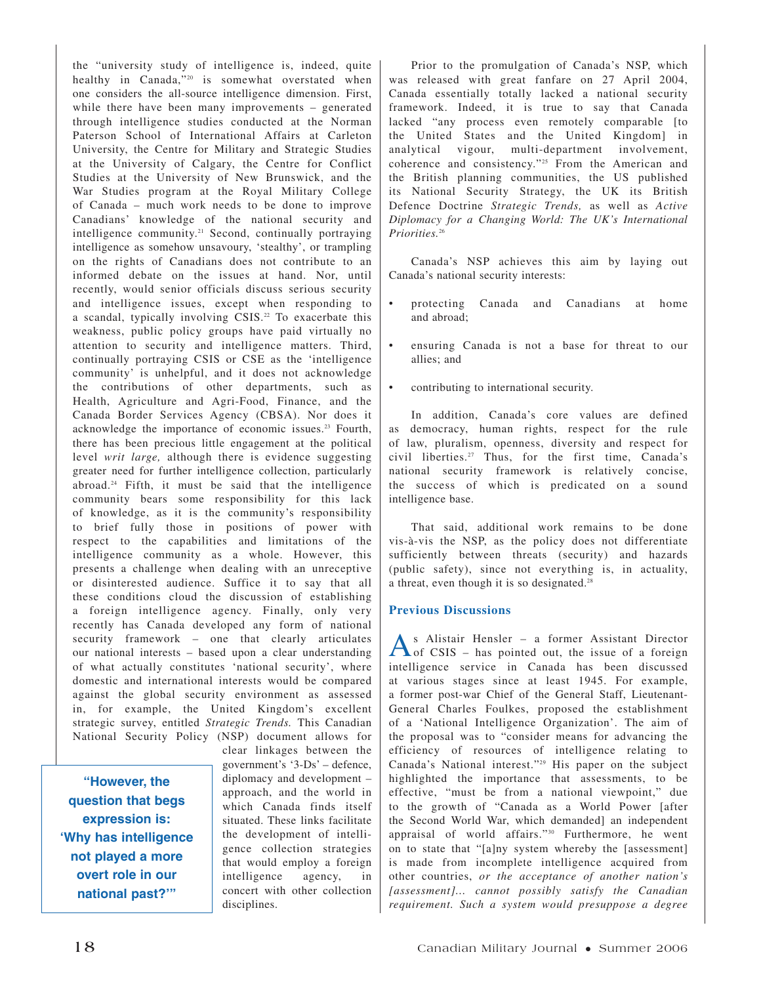the "university study of intelligence is, indeed, quite healthy in Canada,"<sup>20</sup> is somewhat overstated when one considers the all-source intelligence dimension. First, while there have been many improvements – generated through intelligence studies conducted at the Norman Paterson School of International Affairs at Carleton University, the Centre for Military and Strategic Studies at the University of Calgary, the Centre for Conflict Studies at the University of New Brunswick, and the War Studies program at the Royal Military College of Canada – much work needs to be done to improve Canadians' knowledge of the national security and intelligence community.<sup>21</sup> Second, continually portraying intelligence as somehow unsavoury, 'stealthy', or trampling on the rights of Canadians does not contribute to an informed debate on the issues at hand. Nor, until recently, would senior officials discuss serious security and intelligence issues, except when responding to a scandal, typically involving CSIS.<sup>22</sup> To exacerbate this weakness, public policy groups have paid virtually no attention to security and intelligence matters. Third, continually portraying CSIS or CSE as the 'intelligence community' is unhelpful, and it does not acknowledge the contributions of other departments, such as Health, Agriculture and Agri-Food, Finance, and the Canada Border Services Agency (CBSA). Nor does it acknowledge the importance of economic issues.23 Fourth, there has been precious little engagement at the political level *writ large,* although there is evidence suggesting greater need for further intelligence collection, particularly abroad.24 Fifth, it must be said that the intelligence community bears some responsibility for this lack of knowledge, as it is the community's responsibility to brief fully those in positions of power with respect to the capabilities and limitations of the intelligence community as a whole. However, this presents a challenge when dealing with an unreceptive or disinterested audience. Suffice it to say that all these conditions cloud the discussion of establishing a foreign intelligence agency. Finally, only very recently has Canada developed any form of national security framework – one that clearly articulates our national interests – based upon a clear understanding of what actually constitutes 'national security', where domestic and international interests would be compared against the global security environment as assessed in, for example, the United Kingdom's excellent strategic survey, entitled *Strategic Trends.* This Canadian National Security Policy (NSP) document allows for

**"However, the question that begs expression is: 'Why has intelligence not played a more overt role in our national past?'"**

clear linkages between the government's '3-Ds' – defence, diplomacy and development – approach, and the world in which Canada finds itself situated. These links facilitate the development of intelligence collection strategies that would employ a foreign intelligence agency, in concert with other collection disciplines.

Prior to the promulgation of Canada's NSP, which was released with great fanfare on 27 April 2004, Canada essentially totally lacked a national security framework. Indeed, it is true to say that Canada lacked "any process even remotely comparable [to the United States and the United Kingdom] in analytical vigour, multi-department involvement, coherence and consistency."25 From the American and the British planning communities, the US published its National Security Strategy, the UK its British Defence Doctrine *Strategic Trends,* as well as *Active Diplomacy for a Changing World: The UK's International Priorities.*<sup>26</sup>

Canada's NSP achieves this aim by laying out Canada's national security interests:

- protecting Canada and Canadians at home and abroad;
- ensuring Canada is not a base for threat to our allies; and
- contributing to international security.

In addition, Canada's core values are defined as democracy, human rights, respect for the rule of law, pluralism, openness, diversity and respect for civil liberties.27 Thus, for the first time, Canada's national security framework is relatively concise, the success of which is predicated on a sound intelligence base.

That said, additional work remains to be done vis-à-vis the NSP, as the policy does not differentiate sufficiently between threats (security) and hazards (public safety), since not everything is, in actuality, a threat, even though it is so designated.<sup>28</sup>

## **Previous Discussions**

As Alistair Hensler – a former Assistant Director<br>
of CSIS – has pointed out, the issue of a foreign intelligence service in Canada has been discussed at various stages since at least 1945. For example, a former post-war Chief of the General Staff, Lieutenant-General Charles Foulkes, proposed the establishment of a 'National Intelligence Organization'. The aim of the proposal was to "consider means for advancing the efficiency of resources of intelligence relating to Canada's National interest."29 His paper on the subject highlighted the importance that assessments, to be effective, "must be from a national viewpoint," due to the growth of "Canada as a World Power [after the Second World War, which demanded] an independent appraisal of world affairs."30 Furthermore, he went on to state that "[a]ny system whereby the [assessment] is made from incomplete intelligence acquired from other countries, *or the acceptance of another nation's [assessment]... cannot possibly satisfy the Canadian requirement. Such a system would presuppose a degree*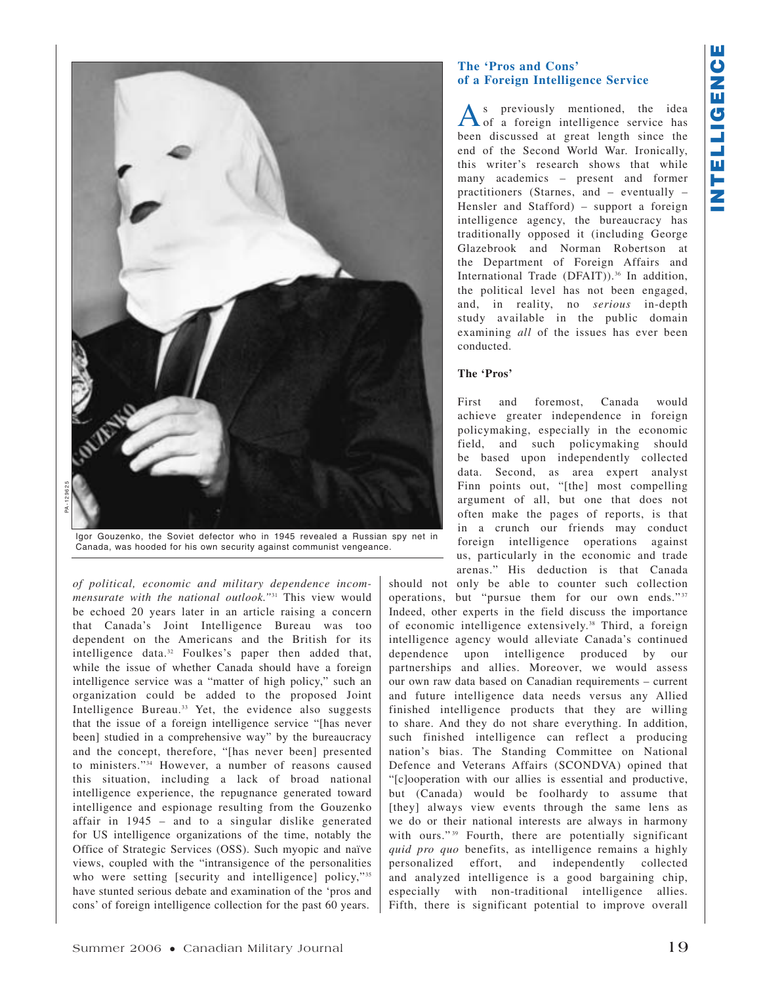

Igor Gouzenko, the Soviet defector who in 1945 revealed a Russian spy net in Canada, was hooded for his own security against communist vengeance.

*of political, economic and military dependence incommensurate with the national outlook."*<sup>31</sup> This view would be echoed 20 years later in an article raising a concern that Canada's Joint Intelligence Bureau was too dependent on the Americans and the British for its intelligence data.<sup>32</sup> Foulkes's paper then added that, while the issue of whether Canada should have a foreign intelligence service was a "matter of high policy," such an organization could be added to the proposed Joint Intelligence Bureau.<sup>33</sup> Yet, the evidence also suggests that the issue of a foreign intelligence service "[has never been] studied in a comprehensive way" by the bureaucracy and the concept, therefore, "[has never been] presented to ministers."34 However, a number of reasons caused this situation, including a lack of broad national intelligence experience, the repugnance generated toward intelligence and espionage resulting from the Gouzenko affair in 1945 – and to a singular dislike generated for US intelligence organizations of the time, notably the Office of Strategic Services (OSS). Such myopic and naïve views, coupled with the "intransigence of the personalities who were setting [security and intelligence] policy,"35 have stunted serious debate and examination of the 'pros and cons' of foreign intelligence collection for the past 60 years.

## **The 'Pros and Cons' of a Foreign Intelligence Service**

As previously mentioned, the idea<br>
of a foreign intelligence service has been discussed at great length since the end of the Second World War. Ironically, this writer's research shows that while many academics – present and former practitioners (Starnes, and – eventually – Hensler and Stafford) – support a foreign intelligence agency, the bureaucracy has traditionally opposed it (including George Glazebrook and Norman Robertson at the Department of Foreign Affairs and International Trade (DFAIT)).<sup>36</sup> In addition, the political level has not been engaged, and, in reality, no *serious* in-depth study available in the public domain examining *all* of the issues has ever been conducted.

## **The 'Pros'**

First and foremost, Canada would achieve greater independence in foreign policymaking, especially in the economic field, and such policymaking should be based upon independently collected data. Second, as area expert analyst Finn points out, "[the] most compelling argument of all, but one that does not often make the pages of reports, is that in a crunch our friends may conduct foreign intelligence operations against us, particularly in the economic and trade arenas." His deduction is that Canada

should not only be able to counter such collection operations, but "pursue them for our own ends."<sup>37</sup> Indeed, other experts in the field discuss the importance of economic intelligence extensively.38 Third, a foreign intelligence agency would alleviate Canada's continued dependence upon intelligence produced by our partnerships and allies. Moreover, we would assess our own raw data based on Canadian requirements – current and future intelligence data needs versus any Allied finished intelligence products that they are willing to share. And they do not share everything. In addition, such finished intelligence can reflect a producing nation's bias. The Standing Committee on National Defence and Veterans Affairs (SCONDVA) opined that "[c]ooperation with our allies is essential and productive, but (Canada) would be foolhardy to assume that [they] always view events through the same lens as we do or their national interests are always in harmony with ours."<sup>39</sup> Fourth, there are potentially significant *quid pro quo* benefits, as intelligence remains a highly personalized effort, and independently collected and analyzed intelligence is a good bargaining chip, especially with non-traditional intelligence allies. Fifth, there is significant potential to improve overall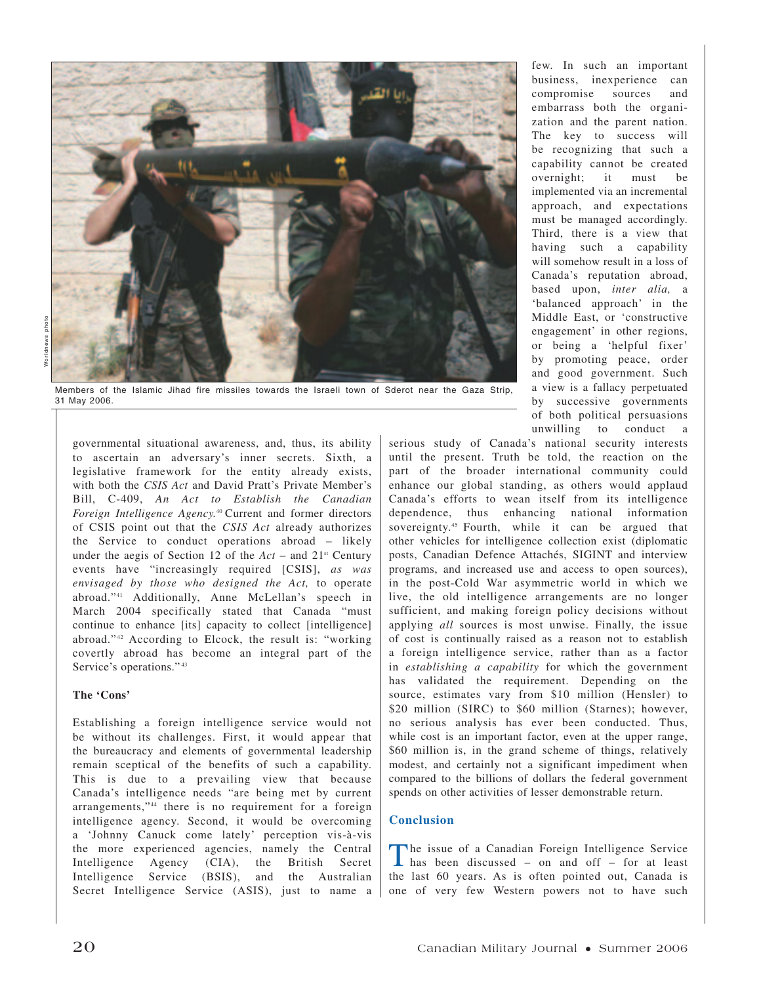

Members of the Islamic Jihad fire missiles towards the Israeli town of Sderot near the Gaza Strip, 31 May 2006.

governmental situational awareness, and, thus, its ability to ascertain an adversary's inner secrets. Sixth, a legislative framework for the entity already exists, with both the *CSIS Act* and David Pratt's Private Member's Bill, C-409, *An Act to Establish the Canadian Foreign Intelligence Agency.*40 Current and former directors of CSIS point out that the *CSIS Act* already authorizes the Service to conduct operations abroad – likely under the aegis of Section 12 of the  $Act$  – and  $21<sup>st</sup>$  Century events have "increasingly required [CSIS], *as was envisaged by those who designed the Act,* to operate abroad."41 Additionally, Anne McLellan's speech in March 2004 specifically stated that Canada "must continue to enhance [its] capacity to collect [intelligence] abroad." <sup>42</sup> According to Elcock, the result is: "working covertly abroad has become an integral part of the Service's operations."<sup>43</sup>

### **The 'Cons'**

Establishing a foreign intelligence service would not be without its challenges. First, it would appear that the bureaucracy and elements of governmental leadership remain sceptical of the benefits of such a capability. This is due to a prevailing view that because Canada's intelligence needs "are being met by current arrangements,"44 there is no requirement for a foreign intelligence agency. Second, it would be overcoming a 'Johnny Canuck come lately' perception vis-à-vis the more experienced agencies, namely the Central Intelligence Agency (CIA), the British Secret Intelligence Service (BSIS), and the Australian Secret Intelligence Service (ASIS), just to name a

few. In such an important business, inexperience can compromise sources and embarrass both the organization and the parent nation. The key to success will be recognizing that such a capability cannot be created overnight; it must be implemented via an incremental approach, and expectations must be managed accordingly. Third, there is a view that having such a capability will somehow result in a loss of Canada's reputation abroad, based upon, *inter alia,* a 'balanced approach' in the Middle East, or 'constructive engagement' in other regions, or being a 'helpful fixer' by promoting peace, order and good government. Such a view is a fallacy perpetuated by successive governments of both political persuasions unwilling to conduct a

serious study of Canada's national security interests until the present. Truth be told, the reaction on the part of the broader international community could enhance our global standing, as others would applaud Canada's efforts to wean itself from its intelligence dependence, thus enhancing national information sovereignty.<sup>45</sup> Fourth, while it can be argued that other vehicles for intelligence collection exist (diplomatic posts, Canadian Defence Attachés, SIGINT and interview programs, and increased use and access to open sources), in the post-Cold War asymmetric world in which we live, the old intelligence arrangements are no longer sufficient, and making foreign policy decisions without applying *all* sources is most unwise. Finally, the issue of cost is continually raised as a reason not to establish a foreign intelligence service, rather than as a factor in *establishing a capability* for which the government has validated the requirement. Depending on the source, estimates vary from \$10 million (Hensler) to \$20 million (SIRC) to \$60 million (Starnes); however, no serious analysis has ever been conducted. Thus, while cost is an important factor, even at the upper range, \$60 million is, in the grand scheme of things, relatively modest, and certainly not a significant impediment when compared to the billions of dollars the federal government spends on other activities of lesser demonstrable return.

## **Conclusion**

The issue of a Canadian Foreign Intelligence Service has been discussed – on and off – for at least the last 60 years. As is often pointed out, Canada is one of very few Western powers not to have such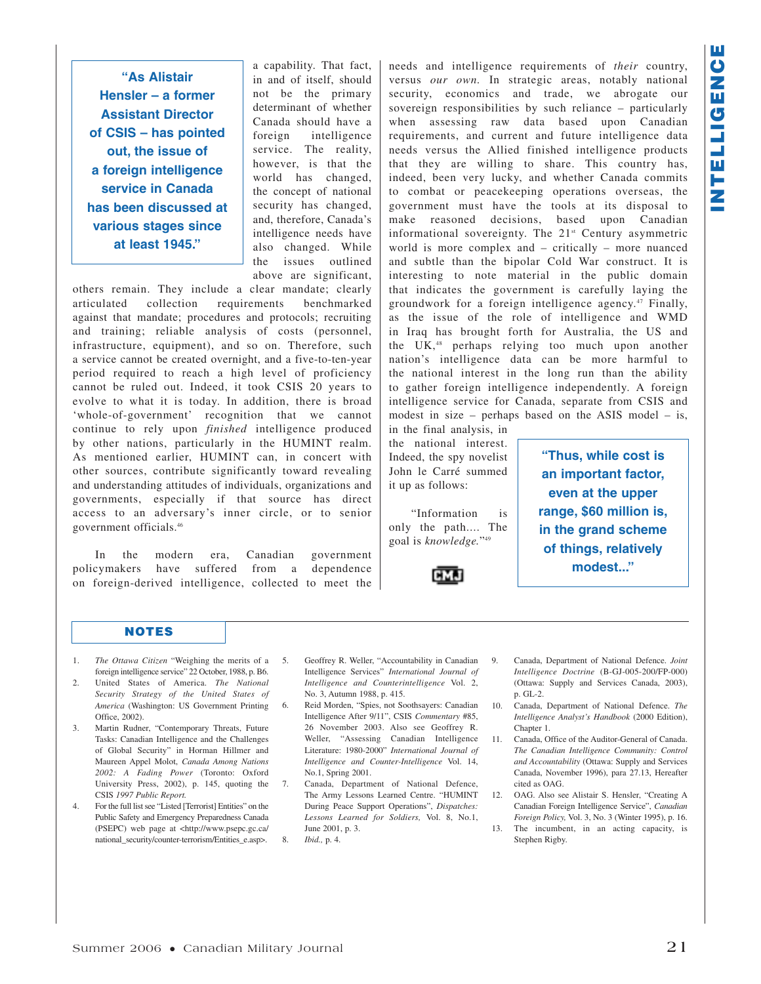**"As Alistair Hensler – a former Assistant Director of CSIS – has pointed out, the issue of a foreign intelligence service in Canada has been discussed at various stages since at least 1945."**

a capability. That fact, in and of itself, should not be the primary determinant of whether Canada should have a foreign intelligence service. The reality, however, is that the world has changed, the concept of national security has changed, and, therefore, Canada's intelligence needs have also changed. While the issues outlined above are significant,

others remain. They include a clear mandate; clearly articulated collection requirements benchmarked against that mandate; procedures and protocols; recruiting and training; reliable analysis of costs (personnel, infrastructure, equipment), and so on. Therefore, such a service cannot be created overnight, and a five-to-ten-year period required to reach a high level of proficiency cannot be ruled out. Indeed, it took CSIS 20 years to evolve to what it is today. In addition, there is broad 'whole-of-government' recognition that we cannot continue to rely upon *finished* intelligence produced by other nations, particularly in the HUMINT realm. As mentioned earlier, HUMINT can, in concert with other sources, contribute significantly toward revealing and understanding attitudes of individuals, organizations and governments, especially if that source has direct access to an adversary's inner circle, or to senior government officials.46

In the modern era, Canadian government policymakers have suffered from a dependence on foreign-derived intelligence, collected to meet the needs and intelligence requirements of *their* country, versus *our own.* In strategic areas, notably national security, economics and trade, we abrogate our sovereign responsibilities by such reliance – particularly when assessing raw data based upon Canadian requirements, and current and future intelligence data needs versus the Allied finished intelligence products that they are willing to share. This country has, indeed, been very lucky, and whether Canada commits to combat or peacekeeping operations overseas, the government must have the tools at its disposal to make reasoned decisions, based upon Canadian informational sovereignty. The 21<sup>st</sup> Century asymmetric world is more complex and – critically – more nuanced and subtle than the bipolar Cold War construct. It is interesting to note material in the public domain that indicates the government is carefully laying the groundwork for a foreign intelligence agency.47 Finally, as the issue of the role of intelligence and WMD in Iraq has brought forth for Australia, the US and the UK,<sup>48</sup> perhaps relying too much upon another nation's intelligence data can be more harmful to the national interest in the long run than the ability to gather foreign intelligence independently. A foreign intelligence service for Canada, separate from CSIS and modest in size – perhaps based on the ASIS model – is,

in the final analysis, in the national interest. Indeed, the spy novelist John le Carré summed it up as follows:

"Information is only the path.... The goal is *knowledge.*"49



**"Thus, while cost is an important factor, even at the upper range, \$60 million is, in the grand scheme of things, relatively modest..."**

### **NOTES**

- 1. *The Ottawa Citizen* "Weighing the merits of a foreign intelligence service" 22 October, 1988, p. B6.
- 2. United States of America. *The National Security Strategy of the United States of America* (Washington: US Government Printing Office, 2002).
- 3. Martin Rudner, "Contemporary Threats, Future Tasks: Canadian Intelligence and the Challenges of Global Security" in Horman Hillmer and Maureen Appel Molot, *Canada Among Nations 2002: A Fading Power* (Toronto: Oxford University Press, 2002), p. 145, quoting the CSIS *1997 Public Report.*
- 4. For the full list see "Listed [Terrorist] Entities" on the Public Safety and Emergency Preparedness Canada (PSEPC) web page at <http://www.psepc.gc.ca/ national\_security/counter-terrorism/Entities\_e.asp>.
- 5. Geoffrey R. Weller, "Accountability in Canadian Intelligence Services" *International Journal of Intelligence and Counterintelligence* Vol. 2, No. 3, Autumn 1988, p. 415.
- 6. Reid Morden, "Spies, not Soothsayers: Canadian Intelligence After 9/11", CSIS *Commentary* #85, 26 November 2003. Also see Geoffrey R. Weller, "Assessing Canadian Intelligence Literature: 1980-2000" *International Journal of Intelligence and Counter-Intelligence* Vol. 14, No.1, Spring 2001.
- 7. Canada, Department of National Defence, The Army Lessons Learned Centre. "HUMINT During Peace Support Operations", *Dispatches: Lessons Learned for Soldiers,* Vol. 8, No.1, June 2001, p. 3. 8. *Ibid.,* p. 4.
- 9. Canada, Department of National Defence. *Joint Intelligence Doctrine* (B-GJ-005-200/FP-000) (Ottawa: Supply and Services Canada, 2003), p. GL-2.
- 10. Canada, Department of National Defence. *The Intelligence Analyst's Handbook* (2000 Edition), Chapter 1.
- 11. Canada, Office of the Auditor-General of Canada. *The Canadian Intelligence Community: Control and Accountability* (Ottawa: Supply and Services Canada, November 1996), para 27.13, Hereafter cited as OAG.
- 12. OAG. Also see Alistair S. Hensler, "Creating A Canadian Foreign Intelligence Service", *Canadian Foreign Policy,* Vol. 3, No. 3 (Winter 1995), p. 16.
- 13. The incumbent, in an acting capacity, is Stephen Rigby.